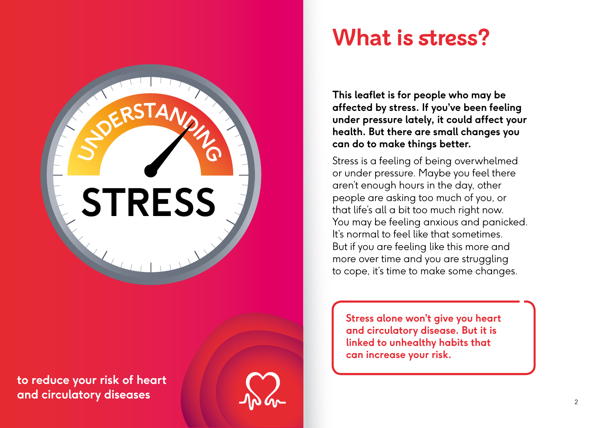# **STRESS**

 $\frac{1}{2}$ **DERSTAND** 

**to reduce your risk of heart and circulatory diseases**

## **What is stress?**

**This leaflet is for people who may be affected by stress. If you've been feeling under pressure lately, it could affect your health. But there are small changes you can do to make things better.**

Stress is a feeling of being overwhelmed or under pressure. Maybe you feel there aren't enough hours in the day, other people are asking too much of you, or that life's all a bit too much right now. You may be feeling anxious and panicked. It's normal to feel like that sometimes. But if you are feeling like this more and more over time and you are struggling to cope, it's time to make some changes.

**Stress alone won't give you heart and circulatory disease. But it is linked to unhealthy habits that can increase your risk.**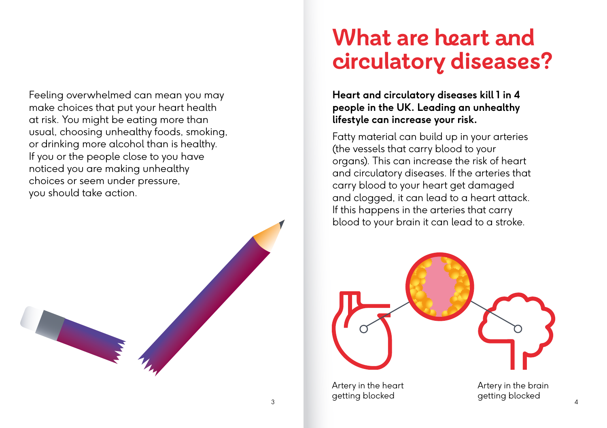Feeling overwhelmed can mean you may make choices that put your heart health at risk. You might be eating more than usual, choosing unhealthy foods, smoking, or drinking more alcohol than is healthy. If you or the people close to you have noticed you are making unhealthy choices or seem under pressure, you should take action.

### **What are heart and circulatory diseases?**

**Heart and circulatory diseases kill 1 in 4 people in the UK. Leading an unhealthy lifestyle can increase your risk.**

Fatty material can build up in your arteries (the vessels that carry blood to your organs). This can increase the risk of heart and circulatory diseases. If the arteries that carry blood to your heart get damaged and clogged, it can lead to a heart attack. If this happens in the arteries that carry blood to your brain it can lead to a stroke.



Artery in the heart getting blocked getting blocked <sup>3</sup> <sup>4</sup>

Artery in the brain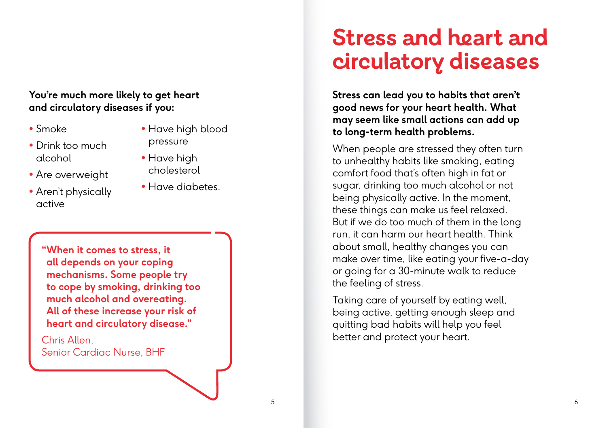#### **You're much more likely to get heart and circulatory diseases if you:**

- Smoke
- Drink too much alcohol
- Are overweight
- Aren't physically active
- Have high blood pressure
- Have high cholesterol
- Have diabetes.

**"When it comes to stress, it all depends on your coping mechanisms. Some people try to cope by smoking, drinking too much alcohol and overeating. All of these increase your risk of heart and circulatory disease."** 

Chris Allen, Senior Cardiac Nurse, BHF

### **Stress and heart and circulatory diseases**

**Stress can lead you to habits that aren't good news for your heart health. What may seem like small actions can add up to long-term health problems.**

When people are stressed they often turn to unhealthy habits like smoking, eating comfort food that's often high in fat or sugar, drinking too much alcohol or not being physically active. In the moment, these things can make us feel relaxed. But if we do too much of them in the long run, it can harm our heart health. Think about small, healthy changes you can make over time, like eating your five-a-day or going for a 30-minute walk to reduce the feeling of stress.

Taking care of yourself by eating well, being active, getting enough sleep and quitting bad habits will help you feel better and protect your heart.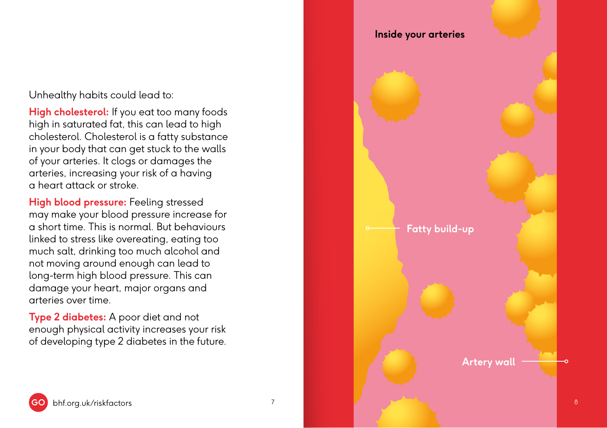Unhealthy habits could lead to:

**High cholesterol:** If you eat too many foods high in saturated fat, this can lead to high cholesterol. Cholesterol is a fatty substance in your body that can get stuck to the walls of your arteries. It clogs or damages the arteries, increasing your risk of a having a heart attack or stroke.

**High blood pressure:** Feeling stressed may make your blood pressure increase for a short time. This is normal. But behaviours linked to stress like overeating, eating too much salt, drinking too much alcohol and not moving around enough can lead to long-term high blood pressure. This can damage your heart, major organs and arteries over time.

**Type 2 diabetes:** A poor diet and not enough physical activity increases your risk of developing type 2 diabetes in the future.

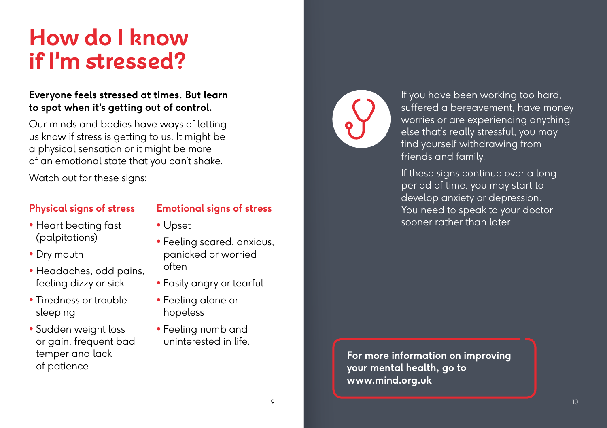### **How do I know if I'm stressed?**

#### **Everyone feels stressed at times. But learn to spot when it's getting out of control.**

Our minds and bodies have ways of letting us know if stress is getting to us. It might be a physical sensation or it might be more of an emotional state that you can't shake.

Watch out for these signs:

#### **Physical signs of stress**

#### **Emotional signs of stress**

• Upset

- Heart beating fast (palpitations)
- Dry mouth
- Headaches, odd pains, feeling dizzy or sick
- Tiredness or trouble sleeping
- Sudden weight loss or gain, frequent bad temper and lack of patience
- Feeling scared, anxious, panicked or worried often
- Easily angry or tearful
- Feeling alone or hopeless
- Feeling numb and uninterested in life.



If you have been working too hard, suffered a bereavement, have money worries or are experiencing anything else that's really stressful, you may find yourself withdrawing from friends and family.

If these signs continue over a long period of time, you may start to develop anxiety or depression. You need to speak to your doctor sooner rather than later.

**For more information on improving your mental health, go to www.mind.org.uk**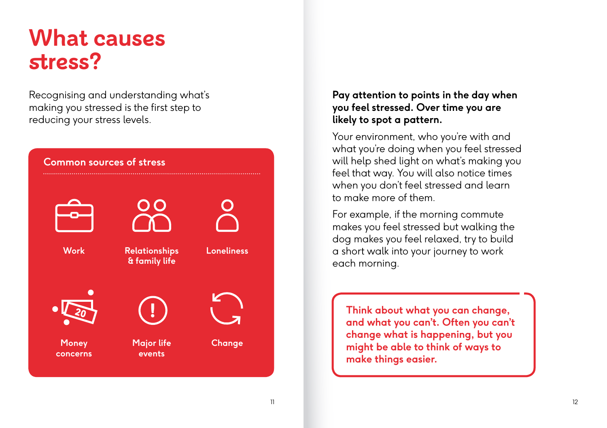### **What causes stress?**

Recognising and understanding what's making you stressed is the first step to reducing your stress levels.



#### **Pay attention to points in the day when you feel stressed. Over time you are likely to spot a pattern.**

Your environment, who you're with and what you're doing when you feel stressed will help shed light on what's making you feel that way. You will also notice times when you don't feel stressed and learn to make more of them.

For example, if the morning commute makes you feel stressed but walking the dog makes you feel relaxed, try to build a short walk into your journey to work each morning.

**Think about what you can change, and what you can't. Often you can't change what is happening, but you might be able to think of ways to make things easier.**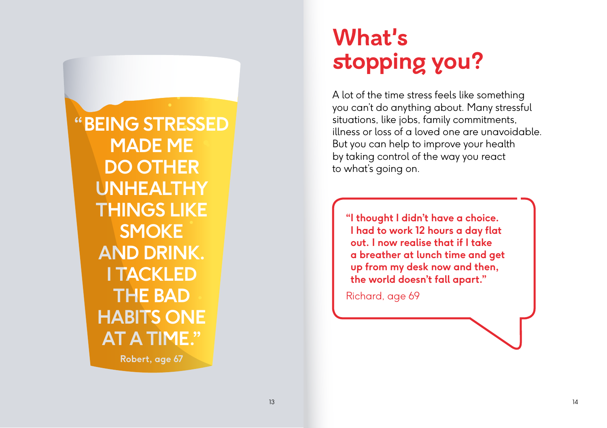**"BEING STRESSED MADE ME DO OTHER UNHEALTHY THINGS LIKE SMOKE AND DRINK. I TACKLED THE BAD HABITS ONE AT A TIME." Robert, age 67**

# **What's stopping you?**

A lot of the time stress feels like something you can't do anything about. Many stressful situations, like jobs, family commitments, illness or loss of a loved one are unavoidable. But you can help to improve your health by taking control of the way you react to what's going on.

**"I thought I didn't have a choice. I had to work 12 hours a day flat out. I now realise that if I take a breather at lunch time and get up from my desk now and then, the world doesn't fall apart."** 

Richard, age 69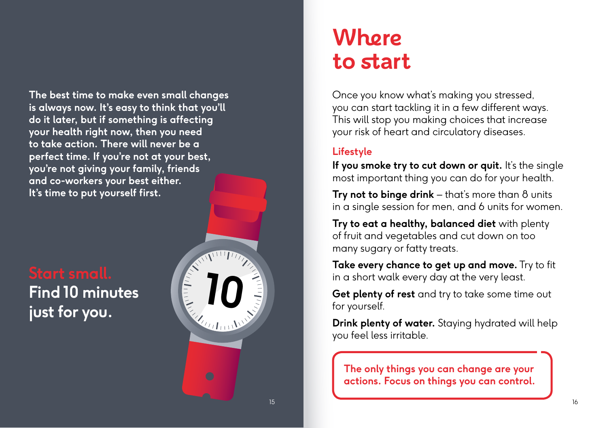**The best time to make even small changes is always now. It's easy to think that you'll do it later, but if something is affecting your health right now, then you need to take action. There will never be a perfect time. If you're not at your best, you're not giving your family, friends and co-workers your best either. It's time to put yourself first.**

**Find 10 minutes**



### **Where to start**

Once you know what's making you stressed, you can start tackling it in a few different ways. This will stop you making choices that increase your risk of heart and circulatory diseases.

### **Lifestyle**

If you smoke try to cut down or quit. It's the single most important thing you can do for your health.

**Try not to binge drink** – that's more than 8 units in a single session for men, and 6 units for women.

**Try to eat a healthy, balanced diet** with plenty of fruit and vegetables and cut down on too many sugary or fatty treats.

**Take every chance to get up and move.** Try to fit in a short walk every day at the very least.

**Get plenty of rest** and try to take some time out for yourself.

**Drink plenty of water.** Staying hydrated will help you feel less irritable.

**The only things you can change are your actions. Focus on things you can control.**